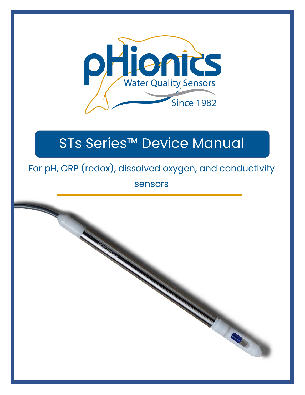

# STs Series™ Device Manual

# For pH, ORP (redox), dissolved oxygen, and conductivity

sensors

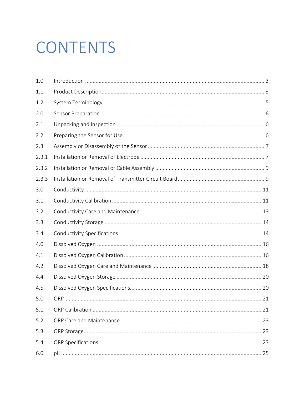# CONTENTS

| 1.0   |     |    |
|-------|-----|----|
| 1.1   |     |    |
| 1.2   |     |    |
| 2.0   |     |    |
| 2.1   |     |    |
| 2.2   |     |    |
| 2.3   |     |    |
| 2.3.1 |     |    |
| 2.3.2 |     |    |
| 2.3.3 |     |    |
| 3.0   |     |    |
| 3.1   |     |    |
| 3.2   |     |    |
| 3.3   |     |    |
| 3.4   |     |    |
| 4.0   |     |    |
| 4.1   |     |    |
| 4.2   |     |    |
| 4.4   |     |    |
| 4.5   |     |    |
| 5.0   | ORP | 21 |
| 5.1   |     |    |
| 5.2   |     |    |
| 5.3   |     |    |
| 5.4   |     |    |
| 6.0   |     |    |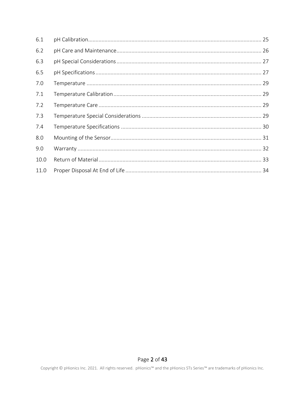| 6.1  |  |
|------|--|
| 6.2  |  |
| 6.3  |  |
| 6.5  |  |
| 7.0  |  |
| 7.1  |  |
| 7.2  |  |
| 7.3  |  |
| 7.4  |  |
| 8.0  |  |
| 9.0  |  |
| 10.0 |  |
| 11.0 |  |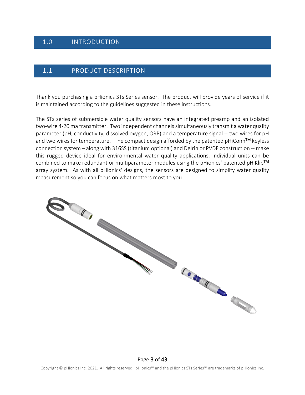# <span id="page-3-0"></span>1.0 INTRODUCTION

#### <span id="page-3-1"></span>1.1 PRODUCT DESCRIPTION

Thank you purchasing a pHionics STs Series sensor. The product will provide years of service if it is maintained according to the guidelines suggested in these instructions.

The STs series of submersible water quality sensors have an integrated preamp and an isolated two-wire 4-20 ma transmitter. Two independent channels simultaneously transmit a water quality parameter (pH, conductivity, dissolved oxygen, ORP) and a temperature signal -- two wires for pH and two wires for temperature. The compact design afforded by the patented pHiConn<sup>TM</sup> keyless connection system – along with 316SS (titanium optional) and Delrin or PVDF construction -- make this rugged device ideal for environmental water quality applications. Individual units can be combined to make redundant or multiparameter modules using the pHionics' patented pHiKlip<sup>TM</sup> array system. As with all pHionics' designs, the sensors are designed to simplify water quality measurement so you can focus on what matters most to you.

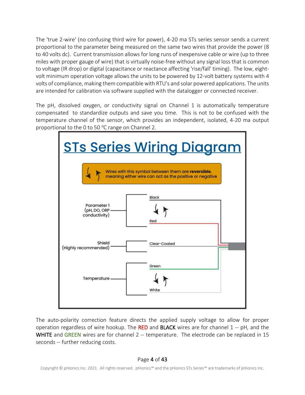The 'true 2-wire' (no confusing third wire for power), 4-20 ma STs series sensor sends a current proportional to the parameter being measured on the same two wires that provide the power (8 to 40 volts dc). Current transmission allows for long runs of inexpensive cable or wire (up to three miles with proper gauge of wire) that is virtually noise-free without any signal loss that is common to voltage (IR drop) or digital (capacitance or reactance affecting 'rise/fall' timing). The low, eightvolt minimum operation voltage allows the units to be powered by 12-volt battery systems with 4 volts of compliance, making them compatible with RTU's and solar powered applications. The units are intended for calibration via software supplied with the datalogger or connected receiver.

The pH, dissolved oxygen, or conductivity signal on Channel 1 is automatically temperature compensated to standardize outputs and save you time. This is not to be confused with the temperature channel of the sensor, which provides an independent, isolated, 4-20 ma output proportional to the 0 to 50  $\degree$ C range on Channel 2.



The auto-polarity correction feature directs the applied supply voltage to allow for proper operation regardless of wire hookup. The RED and BLACK wires are for channel  $1 - pH$ , and the WHITE and GREEN wires are for channel 2 -- temperature. The electrode can be replaced in 15 seconds -- further reducing costs.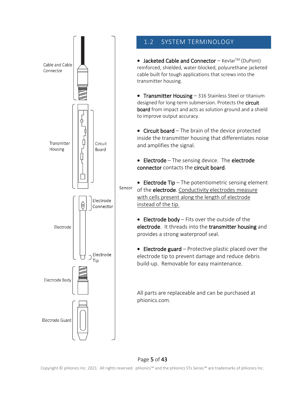

# <span id="page-5-0"></span>1.2 SYSTEM TERMINOLOGY

• Jacketed Cable and Connector - Kevlar<sup>TM</sup> (DuPont) reinforced, shielded, water-blocked, polyurethane jacketed cable built for tough applications that screws into the transmitter housing.

• Transmitter Housing - 316 Stainless Steel or titanium designed for long-term submersion. Protects the **circuit** board from impact and acts as solution ground and a shield to improve output accuracy.

• Circuit board – The brain of the device protected inside the transmitter housing that differentiates noise and amplifies the signal.

• Electrode - The sensing device. The electrode connector contacts the circuit board.

• Electrode Tip – The potentiometric sensing element of the electrode. Conductivity electrodes measure with cells present along the length of electrode instead of the tip.

• Electrode body – Fits over the outside of the electrode. It threads into the transmitter housing and provides a strong waterproof seal.

• Electrode guard  $-$  Protective plastic placed over the electrode tip to prevent damage and reduce debris build-up. Removable for easy maintenance.

All parts are replaceable and can be purchased at phionics.com.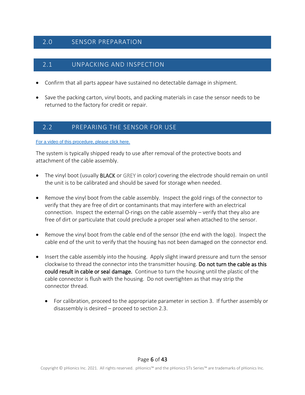# <span id="page-6-0"></span>2.0 SENSOR PREPARATION

# <span id="page-6-1"></span>2.1 UNPACKING AND INSPECTION

- Confirm that all parts appear have sustained no detectable damage in shipment.
- Save the packing carton, vinyl boots, and packing materials in case the sensor needs to be returned to the factory for credit or repair.

# <span id="page-6-2"></span>2.2 PREPARING THE SENSOR FOR USE

[For a video of this procedure, please click here.](https://youtu.be/P3kdRBzgJk0)

The system is typically shipped ready to use after removal of the protective boots and attachment of the cable assembly.

- The vinyl boot (usually BLACK or GREY in color) covering the electrode should remain on until the unit is to be calibrated and should be saved for storage when needed.
- Remove the vinyl boot from the cable assembly. Inspect the gold rings of the connector to verify that they are free of dirt or contaminants that may interfere with an electrical connection. Inspect the external O-rings on the cable assembly – verify that they also are free of dirt or particulate that could preclude a proper seal when attached to the sensor.
- Remove the vinyl boot from the cable end of the sensor (the end with the logo). Inspect the cable end of the unit to verify that the housing has not been damaged on the connector end.
- Insert the cable assembly into the housing. Apply slight inward pressure and turn the sensor clockwise to thread the connector into the transmitter housing. Do not turn the cable as this could result in cable or seal damage. Continue to turn the housing until the plastic of the cable connector is flush with the housing. Do not overtighten as that may strip the connector thread.
	- For calibration, proceed to the appropriate parameter in section 3. If further assembly or disassembly is desired – proceed to section 2.3.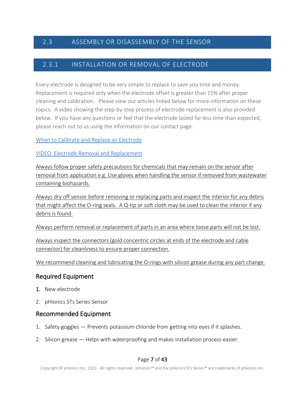# <span id="page-7-0"></span>2.3 ASSEMBLY OR DISASSEMBLY OF THE SENSOR

## <span id="page-7-1"></span>2.3.1 INSTALLATION OR REMOVAL OF ELECTRODE

Every electrode is designed to be very simple to replace to save you time and money. Replacement is required only when the electrode offset is greater than 15% after proper cleaning and calibration. Please view our articles linked below for more information on these topics. A video showing the step-by-step process of electrode replacement is also provided below. If you have any questions or feel that the electrode lasted far less time than expected, please reach out to us using the information on our contact page.

#### When to Calibrate and Replace an [Electrode](https://www.phionics.com/2020/08/26/when-to-calibrate-and-replace-electrode/)

#### VIDEO: Electrode Removal and [Replacement](https://youtu.be/wrbpvps60fk)

Always follow proper safety precautions for chemicals that may remain on the sensor after removal from application e.g. Use gloves when handling the sensor if removed from wastewater containing biohazards.

Always dry off sensor before removing or replacing parts and inspect the interior for any debris that might affect the O-ring seals. A Q-tip or soft cloth may be used to clean the interior if any debris is found.

Always perform removal or replacement of parts in an area where loose parts will not be lost.

Always inspect the connectors (gold concentric circles at ends of the electrode and cable connector) for cleanliness to ensure proper connection.

We recommend cleaning and lubricating the O-rings with silicon grease during any part change.

# Required Equipment

- 1. New electrode
- 2. pHionics STs Series Sensor

## Recommended Equipment

- 1. Safety goggles Prevents potassium chloride from getting into eyes if it splashes.
- 2. Silicon grease Helps with waterproofing and makes installation process easier.

#### Page 7 of 43

Copyright © pHionics Inc. 2021. All rights reserved. pHionics™ and the pHionics STs Series™ are trademarks of pHionics Inc.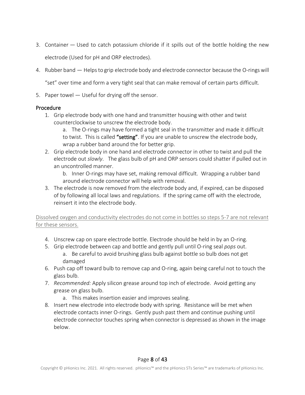- 3. Container Used to catch potassium chloride if it spills out of the bottle holding the new electrode (Used for pH and ORP electrodes).
- 4. Rubber band Helpsto grip electrode body and electrode connector because the O-ringswill

"set" over time and form a very tight seal that can make removal of certain parts difficult.

5. Paper towel — Useful for drying off the sensor.

#### Procedure

- 1. Grip electrode body with one hand and transmitter housing with other and twist counterclockwise to unscrew the electrode body.
	- a. The O-rings may have formed a tight seal in the transmitter and made it difficult to twist. This is called "setting". If you are unable to unscrew the electrode body, wrap a rubber band around the for better grip.
- 2. Grip electrode body in one hand and electrode connector in other to twist and pull the electrode out *slowly*. The glass bulb of pH and ORP sensors could shatter if pulled out in an uncontrolled manner.

b. Inner O-rings may have set, making removal difficult. Wrapping a rubber band around electrode connector will help with removal.

3. The electrode is now removed from the electrode body and, if expired, can be disposed of by following all local laws and regulations. If the spring came off with the electrode, reinsert it into the electrode body.

Dissolved oxygen and conductivity electrodes do not come in bottles so steps 5-7 are not relevant for these sensors.

- 4. Unscrew cap on spare electrode bottle. Electrode should be held in by an O-ring.
- 5. Grip electrode between cap and bottle and gently pull until O-ring seal *pops* out. a. Be careful to avoid brushing glass bulb against bottle so bulb does not get damaged
- 6. Push cap off toward bulb to remove cap and O-ring, again being careful not to touch the glass bulb.
- 7. *Recommended:* Apply silicon grease around top inch of electrode. Avoid getting any grease on glass bulb.
	- a. This makes insertion easier and improves sealing.
- 8. Insert new electrode into electrode body with spring. Resistance will be met when electrode contacts inner O-rings. Gently push past them and continue pushing until electrode connector touches spring when connector is depressed as shown in the image below.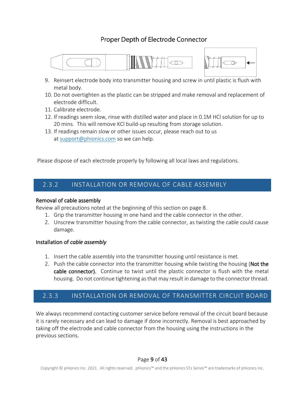# Proper Depth of Electrode Connector





- 9. Reinsert electrode body into transmitter housing and screw in until plastic is flush with metal body.
- 10. Do not overtighten as the plastic can be stripped and make removal and replacement of electrode difficult.
- 11. Calibrate electrode.
- 12. If readings seem slow, rinse with distilled water and place in 0.1M HCl solution for up to 20 mins. This will remove KCl build-up resulting from storage solution.
- 13. If readings remain slow or other issues occur, please reach out to us at [support@phionics.com](mailto:support@phionics.com) so we can help.

Please dispose of each electrode properly by following all local laws and regulations.

# <span id="page-9-0"></span>2.3.2 INSTALLATION OR REMOVAL OF CABLE ASSEMBLY

#### Removal of cable assembly

Review all precautions noted at the beginning of this section on page 8.

- 1. Grip the transmitter housing in one hand and the cable connector in the other.
- 2. Unscrew transmitter housing from the cable connector, as twisting the cable could cause damage.

#### Installation of *cable assembly*

- 1. Insert the cable assembly into the transmitter housing until resistance is met.
- 2. Push the cable connector into the transmitter housing while twisting the housing (Not the cable connector). Continue to twist until the plastic connector is flush with the metal housing. Do not continue tightening as that may result in damage to the connector thread.

# <span id="page-9-1"></span>2.3.3 INSTALLATION OR REMOVAL OF TRANSMITTER CIRCUIT BOARD

We always recommend contacting customer service before removal of the circuit board because it is rarely necessary and can lead to damage if done incorrectly. Removal is best approached by taking off the electrode and cable connector from the housing using the instructions in the previous sections.

#### Page 9 of 43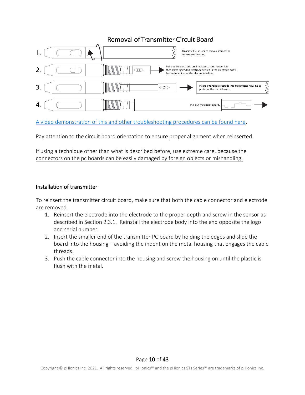# **Removal of Transmitter Circuit Board**



[A video demonstration of this and other troubleshooting procedures can be found here.](https://youtu.be/5dU1FrMmdc0)

Pay attention to the circuit board orientation to ensure proper alignment when reinserted.

If using a technique other than what is described before, use extreme care, because the connectors on the pc boards can be easily damaged by foreign objects or mishandling.

#### Installation of transmitter

To reinsert the transmitter circuit board, make sure that both the cable connector and electrode are removed.

- 1. Reinsert the electrode into the electrode to the proper depth and screw in the sensor as described in Section 2.3.1. Reinstall the electrode body into the end opposite the logo and serial number.
- 2. Insert the smaller end of the transmitter PC board by holding the edges and slide the board into the housing – avoiding the indent on the metal housing that engages the cable threads.
- 3. Push the cable connector into the housing and screw the housing on until the plastic is flush with the metal.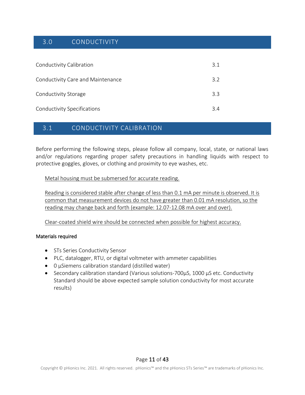# <span id="page-11-0"></span>3.0 CONDUCTIVITY

| Conductivity Calibration          | 3.1 |
|-----------------------------------|-----|
| Conductivity Care and Maintenance | 3.2 |
| Conductivity Storage              | 3.3 |
| Conductivity Specifications       | 34  |

# <span id="page-11-1"></span>3.1 CONDUCTIVITY CALIBRATION

Before performing the following steps, please follow all company, local, state, or national laws and/or regulations regarding proper safety precautions in handling liquids with respect to protective goggles, gloves, or clothing and proximity to eye washes, etc.

Metal housing must be submersed for accurate reading.

Reading is considered stable after change of less than 0.1 mA per minute is observed. It is common that measurement devices do not have greater than 0.01 mA resolution, so the reading may change back and forth (example: 12.07-12.08 mA over and over).

Clear-coated shield wire should be connected when possible for highest accuracy.

#### Materials required

- STs Series Conductivity Sensor
- PLC, datalogger, RTU, or digital voltmeter with ammeter capabilities
- 0 µSiemens calibration standard (distilled water)
- Secondary calibration standard (Various solutions-700µS, 1000 µS etc. Conductivity Standard should be above expected sample solution conductivity for most accurate results)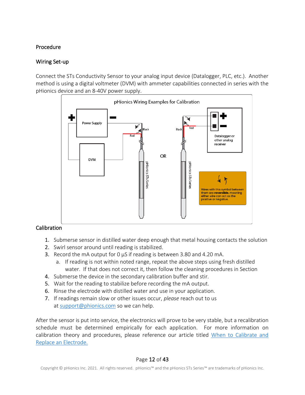#### Procedure

#### Wiring Set-up

Connect the STs Conductivity Sensor to your analog input device (Datalogger, PLC, etc.). Another method is using a digital voltmeter (DVM) with ammeter capabilities connected in series with the pHionics device and an 8-40V power supply.



#### Calibration

- 1. Submerse sensor in distilled water deep enough that metal housing contacts the solution
- 2. Swirl sensor around until reading is stabilized.
- 3. Record the mA output for  $0 \mu S$  if reading is between 3.80 and 4.20 mA.
	- a. If reading is not within noted range, repeat the above steps using fresh distilled water. If that does not correct it, then follow the cleaning procedures in Section
- 4. Submerse the device in the secondary calibration buffer and stir.
- 5. Wait for the reading to stabilize before recording the mA output.
- 6. Rinse the electrode with distilled water and use in your application.
- 7. If readings remain slow or other issues occur, *please* reach out to us at [support@phionics.com](mailto:support@phionics.com) so we can help.

After the sensor is put into service, the electronics will prove to be very stable, but a recalibration schedule must be determined empirically for each application. For more information on calibration theory and procedures, please reference our article titled [When to Calibrate and](https://www.phionics.com/2020/08/26/when-to-calibrate-and-replace-electrode/)  [Replace an Electrode.](https://www.phionics.com/2020/08/26/when-to-calibrate-and-replace-electrode/)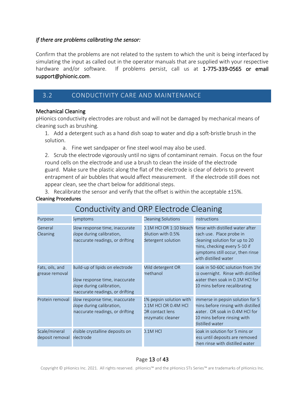#### *If there are problems calibrating the sensor:*

Confirm that the problems are not related to the system to which the unit is being interfaced by simulating the input as called out in the operator manuals that are supplied with your respective hardware and/or software. If problems persist, call us at 1-775-339-0565 or email support@phionic.com.

# <span id="page-13-0"></span>3.2 CONDUCTIVITY CARE AND MAINTENANCE

#### Mechanical Cleaning

pHionics conductivity electrodes are robust and will not be damaged by mechanical means of cleaning such as brushing.

1. Add a detergent such as a hand dish soap to water and dip a soft-bristle brush in the solution.

a. Fine wet sandpaper or fine steel wool may also be used.

2. Scrub the electrode vigorously until no signs of contaminant remain. Focus on the four round cells on the electrode and use a brush to clean the inside of the electrode guard. Make sure the plastic along the flat of the electrode is clear of debris to prevent entrapment of air bubbles that would affect measurement. If the electrode still does not appear clean, see the chart below for additional steps.

3. Recalibrate the sensor and verify that the offset is within the acceptable ±15%. Cleaning Procedures

| CONQUESTION ON LIEGHOUE CIEDINIS                                                                                      |                                                                                                                                   |                                                                                                |                                                                                                                                                                                            |  |  |
|-----------------------------------------------------------------------------------------------------------------------|-----------------------------------------------------------------------------------------------------------------------------------|------------------------------------------------------------------------------------------------|--------------------------------------------------------------------------------------------------------------------------------------------------------------------------------------------|--|--|
| Purpose                                                                                                               | Symptoms                                                                                                                          | Cleaning Solutions                                                                             | <b>Instructions</b>                                                                                                                                                                        |  |  |
| General<br>Slow response time, inaccurate<br>slope during calibration,<br>Cleaning<br>naccurate readings, or drifting |                                                                                                                                   | 0.1M HCl OR 1:10 bleach<br>dilution with 0.5%<br>detergent solution                            | Rinse with distilled water after<br>each use. Place probe in<br>cleaning solution for up to 20<br>mins, checking every 5-10 if<br>symptoms still occur, then rinse<br>with distilled water |  |  |
| Fats, oils, and<br>grease removal                                                                                     | Build-up of lipids on electrode<br>Slow response time, inaccurate<br>slope during calibration,<br>naccurate readings, or drifting | Mild detergent OR<br>methanol                                                                  | Soak in 50-60C solution from 1hr<br>to overnight. Rinse with distilled<br>water then soak in 0.1M HCI for<br>10 mins before recalibrating                                                  |  |  |
| Protein removal                                                                                                       | Slow response time, inaccurate<br>slope during calibration,<br>naccurate readings, or drifting                                    | 1% pepsin solution with<br>0.1M HCI OR 0.4M HCI<br><b>OR contact lens</b><br>enzymatic cleaner | mmerse in pepsin solution for 5<br>mins before rinsing with distilled<br>water. OR soak in 0.4M HCl for<br>10 mins before rinsing with<br>distilled water                                  |  |  |
| Scale/mineral<br>deposit removal                                                                                      | Visible crystalline deposits on<br>electrode                                                                                      | $0.1M$ HCl                                                                                     | Soak in solution for 5 mins or<br>ess until deposits are removed<br>then rinse with distilled water                                                                                        |  |  |

# Conductivity and ORP Electrode Cleaning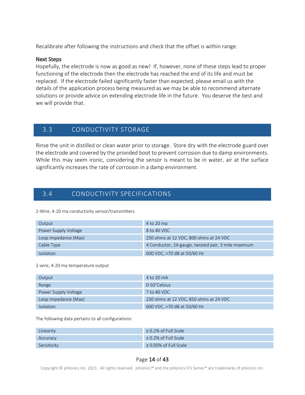Recalibrate after following the instructions and check that the offset is within range.

#### Next Steps

Hopefully, the electrode is now as good as new! If, however, none of these steps lead to proper functioning of the electrode then the electrode has reached the end of its life and must be replaced. If the electrode failed significantly faster than expected, please email us with the details of the application process being measured as we may be able to recommend alternate solutions or provide advice on extending electrode life in the future. You deserve the best and we will provide that.

# <span id="page-14-0"></span>3.3 CONDUCTIVITY STORAGE

Rinse the unit in distilled or clean water prior to storage. Store dry with the electrode guard over the electrode and covered by the provided boot to prevent corrosion due to damp environments. While this may seem ironic, considering the sensor is meant to be in water, air at the surface significantly increases the rate of corrosion in a damp environment.

# <span id="page-14-1"></span>3.4 CONDUCTIVITY SPECIFICATIONS

2-Wire, 4-20 ma conductivity sensor/transmitters

| Output               | 4 to 20 ma                                          |
|----------------------|-----------------------------------------------------|
| Power Supply Voltage | 8 to 40 VDC                                         |
| Loop Impedance (Max) | 250 ohms at 12 VDC, 800 ohms at 24 VDC              |
| Cable Type           | 4 Conductor, 24-gauge, twisted pair, 3 mile maximum |
| <b>Isolation</b>     | 600 VDC, >70 dB at 50/60 Hz                         |

#### 2-wire, 4-20 ma temperature output

| Output               | 4 to 20 mA                             |  |  |
|----------------------|----------------------------------------|--|--|
| Range                | 0-50°Celsius                           |  |  |
| Power Supply Voltage | 7 to 40 VDC                            |  |  |
| Loop Impedance (Max) | 250 ohms at 12 VDC, 850 ohms at 24 VDC |  |  |
| <b>Isolation</b>     | 600 VDC, >70 dB at 50/60 Hz            |  |  |

The following data pertains to all configurations:

| Linearity   | $\pm$ 0.2% of Full Scale  |
|-------------|---------------------------|
| Accuracy    | $\pm$ 0.2% of Full Scale  |
| Sensitivity | $\pm$ 0.05% of Full Scale |

#### Page 14 of 43

Copyright © pHionics Inc. 2021. All rights reserved. pHionics™ and the pHionics STs Series™ are trademarks of pHionics Inc.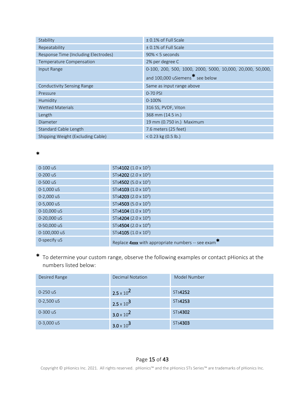| Stability                            | ± 0.1% of Full Scale                                       |  |  |  |
|--------------------------------------|------------------------------------------------------------|--|--|--|
| Repeatability                        | ± 0.1% of Full Scale                                       |  |  |  |
| Response Time (Including Electrodes) | $90\% < 5$ seconds                                         |  |  |  |
| Temperature Compensation             | 2% per degree C                                            |  |  |  |
| Input Range                          | 0-100, 200, 500, 1000, 2000, 5000, 10,000, 20,000, 50,000, |  |  |  |
|                                      | and 100,000 uSiemens* see below                            |  |  |  |
| <b>Conductivity Sensing Range</b>    | Same as input range above                                  |  |  |  |
| Pressure                             | 0-70 PSI                                                   |  |  |  |
| Humidity                             | 0-100%                                                     |  |  |  |
| <b>Wetted Materials</b>              | 316 SS, PVDF, Viton                                        |  |  |  |
| Length                               | 368 mm (14.5 in.)                                          |  |  |  |
| Diameter                             | 19 mm (0.750 in.) Maximum                                  |  |  |  |
| Standard Cable Length                | 7.6 meters (25 feet)                                       |  |  |  |
| Shipping Weight (Excluding Cable)    | $< 0.23$ kg (0.5 lb.)                                      |  |  |  |

| $0-100$ uS   | STs4102 $(1.0 \times 10^2)$                        |
|--------------|----------------------------------------------------|
| $0 - 200$ uS | STs4202 (2.0 x 10 <sup>2</sup> )                   |
| 0-500 uS     | STs4502 (5.0 x 10 <sup>2</sup> )                   |
| 0-1,000 uS   | STs4103 $(1.0 \times 10^3)$                        |
| 0-2,000 uS   | STs4203 (2.0 x 10 <sup>3</sup> )                   |
| 0-5,000 uS   | STs4503 (5.0 x $10^3$ )                            |
| 0-10,000 uS  | STs4104 $(1.0 \times 10^4)$                        |
| 0-20,000 uS  | STs4204 (2.0 x $10^4$ )                            |
| 0-50,000 uS  | STs4504 (2.0 x 10 <sup>4</sup> )                   |
| 0-100,000 uS | STs4105 $(1.0 \times 10^5)$                        |
| 0-specify uS | Replace 4xxx with appropriate numbers -- see exam* |

\*

\* To determine your custom range, observe the following examples or contact pHionics at the numbers listed below:

| Desired Range | <b>Decimal Notation</b> | Model Number |
|---------------|-------------------------|--------------|
| 0-250 uS      | $2.5 \times 10^{2}$     | STs4252      |
| 0-2,500 uS    | $2.5 \times 10^3$       | STs4253      |
| 0-300 uS      | $3.0 \times 10^{2}$     | STs4302      |
| $0-3,000$ uS  | $3.0 \times 10^3$       | STs4303      |

# Page 15 of 43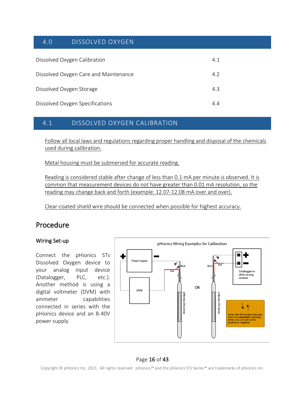# <span id="page-16-0"></span>4.0 DISSOLVED OXYGEN

| Dissolved Oxygen Calibration          | 4.1 |
|---------------------------------------|-----|
| Dissolved Oxygen Care and Maintenance | 4.2 |
| Dissolved Oxygen Storage              | 4.3 |
| Dissolved Oxygen Specifications       | 44  |

# <span id="page-16-1"></span>4.1 DISSOLVED OXYGEN CALIBRATION

Follow all local laws and regulations regarding proper handling and disposal of the chemicals used during calibration.

Metal housing must be submersed for accurate reading.

Reading is considered stable after change of less than 0.1 mA per minute is observed. It is common that measurement devices do not have greater than 0.01 mA resolution, so the reading may change back and forth (example: 12.07-12.08 mA over and over).

Clear-coated shield wire should be connected when possible for highest accuracy.

# Procedure

#### Wiring Set-up

Connect the pHionics STs Dissolved Oxygen device to your analog input device (Datalogger, PLC, etc.). Another method is using a digital voltmeter (DVM) with ammeter capabilities connected in series with the pHionics device and an 8-40V power supply.



#### Page 16 of 43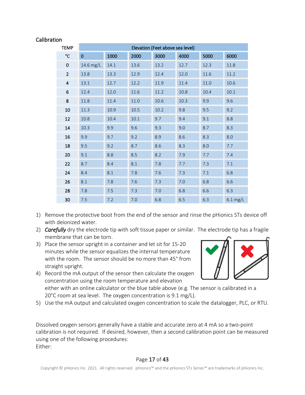#### Calibration

| <b>TEMP</b>             | Elevation (Feet above sea level) |      |      |      |      |      |            |
|-------------------------|----------------------------------|------|------|------|------|------|------------|
| $\mathcal{C}$           | $\mathbf 0$                      | 1000 | 2000 | 3000 | 4000 | 5000 | 6000       |
| $\mathbf 0$             | 14.6 mg/L                        | 14.1 | 13.6 | 13.2 | 12.7 | 12.3 | 11.8       |
| $\overline{2}$          | 13.8                             | 13.3 | 12.9 | 12.4 | 12.0 | 11.6 | 11.2       |
| $\overline{\mathbf{4}}$ | 13.1                             | 12.7 | 12.2 | 11.9 | 11.4 | 11.0 | 10.6       |
| 6                       | 12.4                             | 12.0 | 11.6 | 11.2 | 10.8 | 10.4 | 10.1       |
| 8                       | 11.8                             | 11.4 | 11.0 | 10.6 | 10.3 | 9.9  | 9.6        |
| 10                      | 11.3                             | 10.9 | 10.5 | 10.2 | 9.8  | 9.5  | 9.2        |
| 12                      | 10.8                             | 10.4 | 10.1 | 9.7  | 9.4  | 9.1  | 8.8        |
| 14                      | 10.3                             | 9.9  | 9.6  | 9.3  | 9.0  | 8.7  | 8.3        |
| 16                      | 9.9                              | 9.7  | 9.2  | 8.9  | 8.6  | 8.3  | 8.0        |
| 18                      | 9.5                              | 9.2  | 8.7  | 8.6  | 8.3  | 8.0  | 7.7        |
| 20                      | 9.1                              | 8.8  | 8.5  | 8.2  | 7.9  | 7.7  | 7.4        |
| 22                      | 8.7                              | 8.4  | 8.1  | 7.8  | 7.7  | 7.3  | 7.1        |
| 24                      | 8.4                              | 8.1  | 7.8  | 7.6  | 7.3  | 7.1  | 6.8        |
| 26                      | 8.1                              | 7.8  | 7.6  | 7.3  | 7.0  | 6.8  | 6.6        |
| 28                      | 7.8                              | 7.5  | 7.3  | 7.0  | 6.8  | 6.6  | 6.3        |
| 30                      | 7.5                              | 7.2  | 7.0  | 6.8  | 6.5  | 6.3  | $6.1$ mg/L |

- 1) Remove the protective boot from the end of the sensor and rinse the pHionics STs device off with deionized water.
- 2) *Carefully* dry the electrode tip with soft tissue paper or similar. The electrode tip has a fragile membrane that can be torn.
- 3) Place the sensor upright in a container and let sit for 15-20 minutes while the sensor equalizes the internal temperature with the room. The sensor should be no more than 45° from straight upright.
- 4) Record the mA output of the sensor then calculate the oxygen concentration using the room temperature and elevation

either with an online calculator or the blue table above (e.g. The sensor is calibrated in a 20°C room at sea level. The oxygen concentration is 9.1 mg/L).

5) Use the mA output and calculated oxygen concentration to scale the datalogger, PLC, or RTU.

Dissolved oxygen sensors generally have a stable and accurate zero at 4 mA so a two-point calibration is not required. If desired, however, then a second calibration point can be measured using one of the following procedures: Either:

#### Page 17 of 43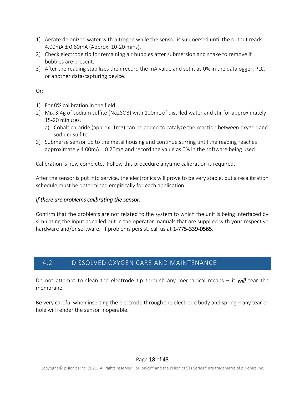- 1) Aerate deionized water with nitrogen while the sensor is submersed until the output reads 4.00mA ± 0.60mA (Approx. 10-20 mins).
- 2) Check electrode tip for remaining air bubbles after submersion and shake to remove if bubbles are present.
- 3) After the reading stabilizes then record the mA value and set it as 0% in the datalogger, PLC, or another data-capturing device.

Or:

- 1) For 0% calibration in the field:
- 2) Mix 3-4g of sodium sulfite (Na2SO3) with 100mL of distilled water and stir for approximately 15-20 minutes.
	- a) Cobalt chloride (approx. 1mg) can be added to catalyze the reaction between oxygen and sodium sulfite.
- 3) Submerse sensor up to the metal housing and continue stirring until the reading reaches approximately 4.00mA ± 0.20mA and record the value as 0% in the software being used.

Calibration is now complete. Follow this procedure anytime calibration is required.

After the sensor is put into service, the electronics will prove to be very stable, but a recalibration schedule must be determined empirically for each application.

#### *If there are problems calibrating the sensor:*

Confirm that the problems are not related to the system to which the unit is being interfaced by simulating the input as called out in the operator manuals that are supplied with your respective hardware and/or software. If problems persist, call us at 1-775-339-0565.

# <span id="page-18-0"></span>4.2 DISSOLVED OXYGEN CARE AND MAINTENANCE

Do not attempt to clean the electrode tip through any mechanical means – it *will* tear the membrane.

Be very careful when inserting the electrode through the electrode body and spring – any tear or hole will render the sensor inoperable.

#### Page 18 of 43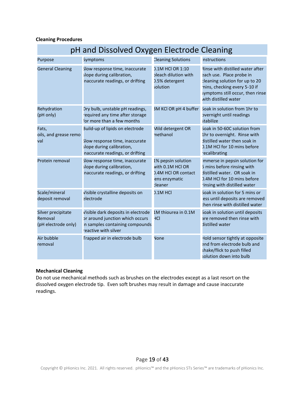#### **Cleaning Procedures**

| pH and Dissolved Oxygen Electrode Cleaning           |                                                                                                                                   |                                                                                           |                                                                                                                                                                                            |
|------------------------------------------------------|-----------------------------------------------------------------------------------------------------------------------------------|-------------------------------------------------------------------------------------------|--------------------------------------------------------------------------------------------------------------------------------------------------------------------------------------------|
| Purpose                                              | Symptoms                                                                                                                          | <b>Cleaning Solutions</b>                                                                 | Instructions                                                                                                                                                                               |
| <b>General Cleaning</b>                              | Slow response time, inaccurate<br>slope during calibration,<br>naccurate readings, or drifting                                    | 0.1M HCI OR 1:10<br>bleach dilution with<br>0.5% detergent<br>solution                    | Rinse with distilled water after<br>each use. Place probe in<br>cleaning solution for up to 20<br>mins, checking every 5-10 if<br>symptoms still occur, then rinse<br>with distilled water |
| Rehydration<br>(pH only)                             | Dry bulb, unstable pH readings,<br>required any time after storage<br>for more than a few months                                  | 3M KCl OR pH 4 buffer                                                                     | Soak in solution from 1hr to<br>overnight until readings<br>stabilize                                                                                                                      |
| Fats,<br>oils, and grease remo<br>val                | Build-up of lipids on electrode<br>Slow response time, inaccurate<br>slope during calibration,<br>naccurate readings, or drifting | Mild detergent OR<br>methanol                                                             | Soak in 50-60C solution from<br>1hr to overnight. Rinse with<br>distilled water then soak in<br>0.1M HCl for 10 mins before<br>recalibrating                                               |
| Protein removal                                      | Slow response time, inaccurate<br>slope during calibration,<br>naccurate readings, or drifting                                    | 1% pepsin solution<br>with 0.1M HCl OR<br>0.4M HCI OR contact<br>ens enzymatic<br>cleaner | mmerse in pepsin solution for<br>5 mins before rinsing with<br>distilled water. OR soak in<br>0.4M HCl for 10 mins before<br>rinsing with distilled water                                  |
| Scale/mineral<br>deposit removal                     | Visible crystalline deposits on<br>electrode                                                                                      | $0.1M$ HCl                                                                                | Soak in solution for 5 mins or<br>ess until deposits are removed<br>then rinse with distilled water                                                                                        |
| Silver precipitate<br>Removal<br>(pH electrode only) | Visible dark deposits in electrode<br>or around junction which occurs<br>n samples containing compounds<br>reactive with silver   | 1M thiourea in 0.1M<br><b>HCI</b>                                                         | Soak in solution until deposits<br>are removed then rinse with<br>distilled water                                                                                                          |
| Air bubble<br>removal                                | Trapped air in electrode bulb                                                                                                     | None                                                                                      | Hold sensor tightly at opposite<br>end from electrode bulb and<br>shake/flick to push filled<br>solution down into bulb                                                                    |

#### **Mechanical Cleaning**

Do not use mechanical methods such as brushes on the electrodes except as a last resort on the dissolved oxygen electrode tip. Even soft brushes may result in damage and cause inaccurate readings.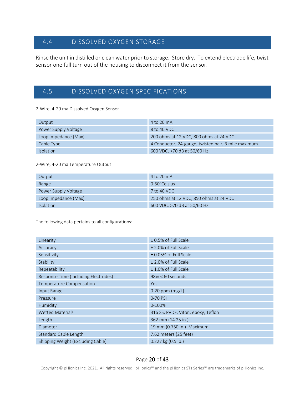# <span id="page-20-0"></span>4.4 DISSOLVED OXYGEN STORAGE

Rinse the unit in distilled or clean water prior to storage. Store dry. To extend electrode life, twist sensor one full turn out of the housing to disconnect it from the sensor.

# <span id="page-20-1"></span>4.5 DISSOLVED OXYGEN SPECIFICATIONS

2-Wire, 4-20 ma Dissolved Oxygen Sensor

| Output               | 4 to 20 mA                                          |
|----------------------|-----------------------------------------------------|
| Power Supply Voltage | 8 to 40 VDC                                         |
| Loop Impedance (Max) | 200 ohms at 12 VDC, 800 ohms at 24 VDC              |
| Cable Type           | 4 Conductor, 24-gauge, twisted pair, 3 mile maximum |
| <b>Isolation</b>     | 600 VDC, >70 dB at 50/60 Hz                         |

#### 2-Wire, 4-20 ma Temperature Output

| Output               | $4$ to $20$ mA                         |
|----------------------|----------------------------------------|
| Range                | 0-50°Celsius                           |
| Power Supply Voltage | $7$ to 40 VDC.                         |
| Loop Impedance (Max) | 250 ohms at 12 VDC, 850 ohms at 24 VDC |
| <b>Isolation</b>     | 600 VDC, >70 dB at 50/60 Hz            |

The following data pertains to all configurations:

| Linearity                            | ± 0.5% of Full Scale               |
|--------------------------------------|------------------------------------|
| Accuracy                             | ± 2.0% of Full Scale               |
| Sensitivity                          | ± 0.05% of Full Scale              |
| Stability                            | ± 2.0% of Full Scale               |
| Repeatability                        | ± 1.0% of Full Scale               |
| Response Time (Including Electrodes) | $98\% < 60$ seconds                |
| Temperature Compensation             | <b>Yes</b>                         |
| Input Range                          | $0-20$ ppm (mg/L)                  |
| Pressure                             | 0-70 PSI                           |
| Humidity                             | 0-100%                             |
| <b>Wetted Materials</b>              | 316 SS, PVDF, Viton, epoxy, Teflon |
| Length                               | 362 mm (14.25 in.)                 |
| Diameter                             | 19 mm (0.750 in.) Maximum          |
| Standard Cable Length                | 7.62 meters (25 feet)              |
| Shipping Weight (Excluding Cable)    | 0.227 kg (0.5 lb.)                 |

#### Page 20 of 43

Copyright © pHionics Inc. 2021. All rights reserved. pHionics™ and the pHionics STs Series™ are trademarks of pHionics Inc.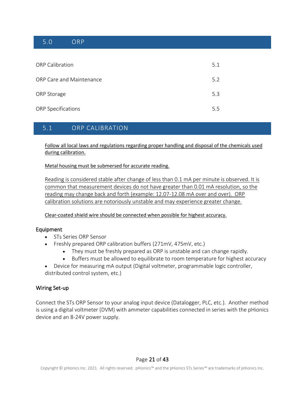# <span id="page-21-0"></span>5.0 ORP

| <b>ORP Calibration</b>    | 5.1 |
|---------------------------|-----|
| ORP Care and Maintenance  | 5.2 |
| ORP Storage               | 5.3 |
| <b>ORP Specifications</b> | 5.5 |

# <span id="page-21-1"></span>5.1 ORP CALIBRATION

Follow all local laws and regulations regarding proper handling and disposal of the chemicals used during calibration.

Metal housing must be submersed for accurate reading.

Reading is considered stable after change of less than 0.1 mA per minute is observed. It is common that measurement devices do not have greater than 0.01 mA resolution, so the reading may change back and forth (example: 12.07-12.08 mA over and over). ORP calibration solutions are notoriously unstable and may experience greater change.

Clear-coated shield wire should be connected when possible for highest accuracy.

#### Equipment

- STs Series ORP Sensor
- Freshly prepared ORP calibration buffers (271mV, 475mV, etc.)
	- They must be freshly prepared as ORP is unstable and can change rapidly.
	- Buffers must be allowed to equilibrate to room temperature for highest accuracy
- Device for measuring mA output (Digital voltmeter, programmable logic controller, distributed control system, etc.)

#### Wiring Set-up

Connect the STs ORP Sensor to your analog input device (Datalogger, PLC, etc.). Another method is using a digital voltmeter (DVM) with ammeter capabilities connected in series with the pHionics device and an 8-24V power supply.

#### Page 21 of 43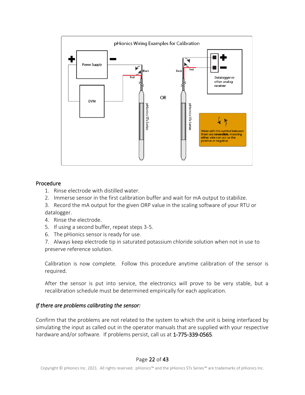

#### Procedure

- 1. Rinse electrode with distilled water.
- 2. Immerse sensor in the first calibration buffer and wait for mA output to stabilize.
- 3. Record the mA output for the given ORP value in the scaling software of your RTU or datalogger.
- 4. Rinse the electrode.
- 5. If using a second buffer, repeat steps 3-5.
- 6. The pHionics sensor is ready for use.

7. Always keep electrode tip in saturated potassium chloride solution when not in use to preserve reference solution.

Calibration is now complete. Follow this procedure anytime calibration of the sensor is required.

After the sensor is put into service, the electronics will prove to be very stable, but a recalibration schedule must be determined empirically for each application.

#### *If there are problems calibrating the sensor:*

Confirm that the problems are not related to the system to which the unit is being interfaced by simulating the input as called out in the operator manuals that are supplied with your respective hardware and/or software. If problems persist, call us at 1-775-339-0565.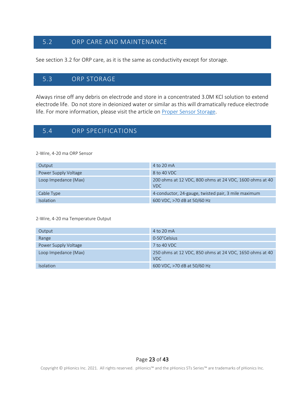# <span id="page-23-0"></span>5.2 ORP CARE AND MAINTENANCE

See section 3.2 for ORP care, as it is the same as conductivity except for storage.

# <span id="page-23-1"></span>5.3 ORP STORAGE

Always rinse off any debris on electrode and store in a concentrated 3.0M KCl solution to extend electrode life. Do not store in deionized water or similar as this will dramatically reduce electrode life. For more information, please visit the article on Proper [Sensor Storage.](https://www.phionics.com/sts-series-sensor-storage/)

# <span id="page-23-2"></span>5.4 ORP SPECIFICATIONS

2-Wire, 4-20 ma ORP Sensor

| Output               | $4$ to $20 \text{ mA}$                                                |
|----------------------|-----------------------------------------------------------------------|
| Power Supply Voltage | 8 to 40 VDC                                                           |
| Loop Impedance (Max) | 200 ohms at 12 VDC, 800 ohms at 24 VDC, 1600 ohms at 40<br><b>VDC</b> |
| Cable Type           | 4-conductor, 24-gauge, twisted pair, 3 mile maximum                   |
| <b>Isolation</b>     | 600 VDC, >70 dB at 50/60 Hz                                           |

2-Wire, 4-20 ma Temperature Output

| Output               | $4$ to $20 \text{ mA}$                                                |
|----------------------|-----------------------------------------------------------------------|
| Range                | 0-50°Celsius                                                          |
| Power Supply Voltage | 7 to 40 VDC                                                           |
| Loop Impedance (Max) | 250 ohms at 12 VDC, 850 ohms at 24 VDC, 1650 ohms at 40<br><b>VDC</b> |
| <b>Isolation</b>     | 600 VDC, >70 dB at 50/60 Hz                                           |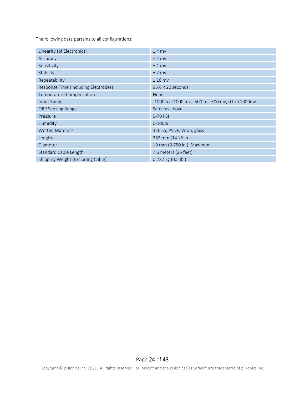The following data pertains to all configurations:

| Linearity (of Electronics)           | $±4$ mv                                                     |
|--------------------------------------|-------------------------------------------------------------|
| Accuracy                             | $±4$ mv                                                     |
| Sensitivity                          | $±1$ mv                                                     |
| Stability                            | $±$ 2 mv                                                    |
| Repeatability                        | $± 10$ mv                                                   |
| Response Time (Including Electrodes) | $95\% < 20$ seconds                                         |
| Temperature Compensation             | <b>None</b>                                                 |
| Input Range                          | $-1000$ to $+1000$ mv, $-500$ to $+500$ mv, 0 to $+1000$ mv |
| <b>ORP Sensing Range</b>             | Same as above                                               |
| Pressure                             | 0-70 PSI                                                    |
| Humidity                             | 0-100%                                                      |
| <b>Wetted Materials</b>              | 316 SS, PVDF, Viton, glass                                  |
| Length                               | 362 mm (14.25 in.)                                          |
| <b>Diameter</b>                      | 19 mm (0.750 in.) Maximum                                   |
| Standard Cable Length                | 7.6 meters (25 feet)                                        |
| Shipping Weight (Excluding Cable)    | 0.227 kg (0.5 lb.)                                          |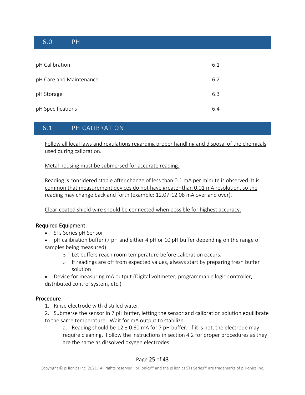# <span id="page-25-0"></span>6.0 PH

| pH Calibration          | 6.1 |
|-------------------------|-----|
| pH Care and Maintenance | 6.2 |
| pH Storage              | 6.3 |
| pH Specifications       | 6.4 |

# <span id="page-25-1"></span>6.1 PH CALIBRATION

Follow all local laws and regulations regarding proper handling and disposal of the chemicals used during calibration.

Metal housing must be submersed for accurate reading.

Reading is considered stable after change of less than 0.1 mA per minute is observed. It is common that measurement devices do not have greater than 0.01 mA resolution, so the reading may change back and forth (example: 12.07-12.08 mA over and over).

Clear-coated shield wire should be connected when possible for highest accuracy.

#### Required Equipment

- STs Series pH Sensor
- pH calibration buffer (7 pH and either 4 pH or 10 pH buffer depending on the range of samples being measured)
	- o Let buffers reach room temperature before calibration occurs.
	- $\circ$  If readings are off from expected values, always start by preparing fresh buffer solution
- Device for measuring mA output (Digital voltmeter, programmable logic controller, distributed control system, etc.)

#### Procedure

- 1. Rinse electrode with distilled water.
- 2. Submerse the sensor in 7 pH buffer, letting the sensor and calibration solution equilibrate to the same temperature. Wait for mA output to stabilize.

a. Reading should be  $12 \pm 0.60$  mA for 7 pH buffer. If it is not, the electrode may require cleaning. Follow the instructions in section 4.2 for proper procedures as they are the same as dissolved oxygen electrodes.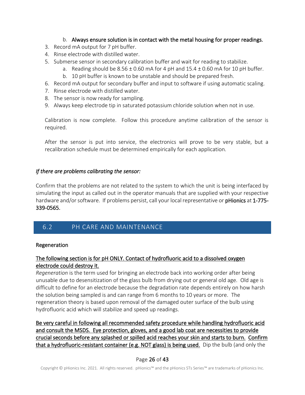### b. Always ensure solution is in contact with the metal housing for proper readings.

- 3. Record mA output for 7 pH buffer.
- 4. Rinse electrode with distilled water.
- 5. Submerse sensor in secondary calibration buffer and wait for reading to stabilize.
	- a. Reading should be  $8.56 \pm 0.60$  mA for 4 pH and  $15.4 \pm 0.60$  mA for 10 pH buffer.
	- b. 10 pH buffer is known to be unstable and should be prepared fresh.
- 6. Record mA output for secondary buffer and input to software if using automatic scaling.
- 7. Rinse electrode with distilled water.
- 8. The sensor is now ready for sampling.
- 9. Always keep electrode tip in saturated potassium chloride solution when not in use.

Calibration is now complete. Follow this procedure anytime calibration of the sensor is required.

After the sensor is put into service, the electronics will prove to be very stable, but a recalibration schedule must be determined empirically for each application.

#### *If there are problems calibrating the sensor:*

Confirm that the problems are not related to the system to which the unit is being interfaced by simulating the input as called out in the operator manuals that are supplied with your respective hardware and/or software. If problems persist, call your local representative or pHionics at 1-775-339-0565.

# <span id="page-26-0"></span>6.2 PH CARE AND MAINTENANCE

#### Regeneration

## The following section is for pH ONLY. Contact of hydrofluoric acid to a dissolved oxygen electrode could destroy it.

*Regeneration* is the term used for bringing an electrode back into working order after being unusable due to desensitization of the glass bulb from drying out or general old age. Old age is difficult to define for an electrode because the degradation rate depends entirely on how harsh the solution being sampled is and can range from 6 months to 10 years or more. The regeneration theory is based upon removal of the damaged outer surface of the bulb using hydrofluoric acid which will stabilize and speed up readings.

Be very careful in following all recommended safety procedure while handling hydrofluoric acid and consult the MSDS. Eye protection, gloves, and a good lab coat are necessities to provide crucial seconds before any splashed or spilled acid reaches your skin and starts to burn. Confirm that a hydrofluoric-resistant container (e.g. NOT glass) is being used. Dip the bulb (and only the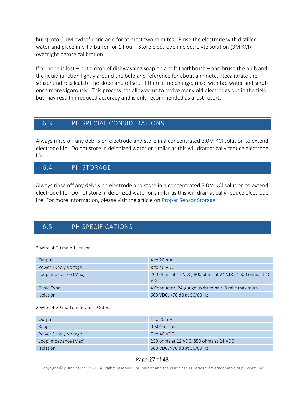bulb) into 0.1M hydrofluoric acid for at most two minutes. Rinse the electrode with distilled water and place in pH 7 buffer for 1 hour. Store electrode in electrolyte solution (3M KCl) overnight before calibration.

If all hope is lost – put a drop of dishwashing soap on a soft toothbrush – and brush the bulb and the liquid junction lightly around the bulb and reference for about a minute. Recalibrate the sensor and recalculate the slope and offset. If there is no change, rinse with tap water and scrub once more vigorously. This process has allowed us to revive many old electrodes out in the field but may result in reduced accuracy and is only recommended as a last resort.

# <span id="page-27-0"></span>6.3 PH SPECIAL CONSIDERATIONS

Always rinse off any debris on electrode and store in a concentrated 3.0M KCl solution to extend electrode life. Do not store in deionized water or similar as this will dramatically reduce electrode life.

# 6.4 PH STORAGE

Always rinse off any debris on electrode and store in a concentrated 3.0M KCl solution to extend electrode life. Do not store in deionized water or similar as this will dramatically reduce electrode life. For more information, please visit the article on [Proper Sensor Storage.](https://www.phionics.com/sts-series-sensor-storage/)

# <span id="page-27-1"></span>6.5 PH SPECIFICATIONS

2-Wire, 4-20 ma pH Sensor

| Output               | $4$ to $20$ mA                                                  |
|----------------------|-----------------------------------------------------------------|
| Power Supply Voltage | 8 to 40 VDC                                                     |
| Loop Impedance (Max) | 200 ohms at 12 VDC, 800 ohms at 24 VDC, 1600 ohms at 40<br>VDC. |
| Cable Type           | 4 Conductor, 24-gauge, twisted pair, 3 mile maximum             |
| Isolation            | 600 VDC, >70 dB at 50/60 Hz                                     |

#### 2-Wire, 4-20 ma Temperature Output

| Output               | 4 to 20 mA                             |
|----------------------|----------------------------------------|
| Range                | 0-50°Celsius                           |
| Power Supply Voltage | $7$ to 40 VDC.                         |
| Loop Impedance (Max) | 250 ohms at 12 VDC, 850 ohms at 24 VDC |
| <b>Isolation</b>     | 600 VDC, >70 dB at 50/60 Hz            |

#### Page 27 of 43

Copyright © pHionics Inc. 2021. All rights reserved. pHionics™ and the pHionics STs Series™ are trademarks of pHionics Inc.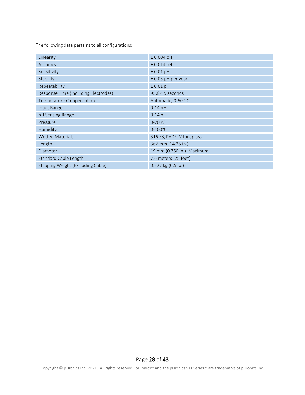The following data pertains to all configurations:

| Linearity                            | $± 0.004$ pH               |
|--------------------------------------|----------------------------|
| Accuracy                             | $± 0.014$ pH               |
| Sensitivity                          | $± 0.01$ pH                |
| Stability                            | $± 0.03$ pH per year       |
| Repeatability                        | $± 0.01$ pH                |
| Response Time (Including Electrodes) | $95\% < 5$ seconds         |
| Temperature Compensation             | Automatic, 0-50 °C         |
| Input Range                          | $0-14$ pH                  |
| pH Sensing Range                     | $0-14$ pH                  |
| Pressure                             | 0-70 PSI                   |
| Humidity                             | 0-100%                     |
| <b>Wetted Materials</b>              | 316 SS, PVDF, Viton, glass |
| Length                               | 362 mm (14.25 in.)         |
| Diameter                             | 19 mm (0.750 in.) Maximum  |
| Standard Cable Length                | 7.6 meters (25 feet)       |
| Shipping Weight (Excluding Cable)    | 0.227 kg (0.5 lb.)         |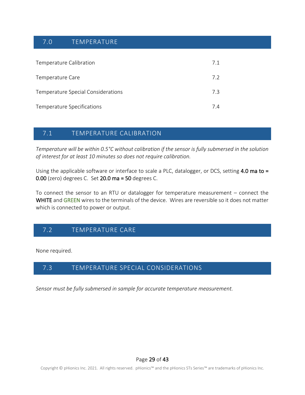# <span id="page-29-0"></span>7.0 TEMPERATURE

| Temperature Calibration            | 7.1 |
|------------------------------------|-----|
| Temperature Care                   | 7.2 |
| Temperature Special Considerations | 73  |
| Temperature Specifications         | 74  |

# <span id="page-29-1"></span>7.1 TEMPERATURE CALIBRATION

*Temperature will be within 0.5°C without calibration if the sensor is fully submersed in the solution of interest for at least 10 minutes so does not require calibration.* 

Using the applicable software or interface to scale a PLC, datalogger, or DCS, setting 4.0 ma to = 0.00 (zero) degrees C. Set 20.0 ma = 50 degrees C.

To connect the sensor to an RTU or datalogger for temperature measurement – connect the WHITE and GREEN wires to the terminals of the device. Wires are reversible so it does not matter which is connected to power or output.

# <span id="page-29-2"></span>7.2 TEMPERATURE CARE

None required.

# <span id="page-29-3"></span>7.3 TEMPERATURE SPECIAL CONSIDERATIONS

*Sensor must be fully submersed in sample for accurate temperature measurement.* 

Page 29 of 43

Copyright © pHionics Inc. 2021. All rights reserved. pHionics™ and the pHionics STs Series™ are trademarks of pHionics Inc.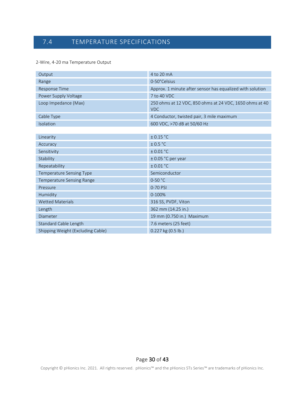# <span id="page-30-0"></span>7.4 TEMPERATURE SPECIFICATIONS

#### 2-Wire, 4-20 ma Temperature Output

| Output                            | 4 to 20 mA                                                            |
|-----------------------------------|-----------------------------------------------------------------------|
| Range                             | 0-50°Celsius                                                          |
| <b>Response Time</b>              | Approx. 1 minute after sensor has equalized with solution             |
| Power Supply Voltage              | 7 to 40 VDC                                                           |
| Loop Impedance (Max)              | 250 ohms at 12 VDC, 850 ohms at 24 VDC, 1650 ohms at 40<br><b>VDC</b> |
| Cable Type                        | 4 Conductor, twisted pair, 3 mile maximum                             |
| Isolation                         | 600 VDC, >70 dB at 50/60 Hz                                           |
|                                   |                                                                       |
| Linearity                         | ± 0.15 °C                                                             |
| Accuracy                          | ± 0.5 °C                                                              |
| Sensitivity                       | ± 0.01 °C                                                             |
| Stability                         | $± 0.05$ °C per year                                                  |
| Repeatability                     | ± 0.01 °C                                                             |
| Temperature Sensing Type          | Semiconductor                                                         |
| Temperature Sensing Range         | $0 - 50 °C$                                                           |
| Pressure                          | 0-70 PSI                                                              |
| Humidity                          | $0 - 100%$                                                            |
| <b>Wetted Materials</b>           | 316 SS, PVDF, Viton                                                   |
| Length                            | 362 mm (14.25 in.)                                                    |
| Diameter                          | 19 mm (0.750 in.) Maximum                                             |
| Standard Cable Length             | 7.6 meters (25 feet)                                                  |
| Shipping Weight (Excluding Cable) | 0.227 kg (0.5 lb.)                                                    |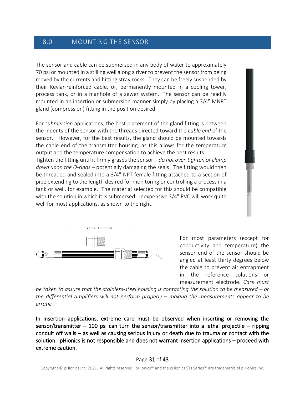# <span id="page-31-0"></span>8.0 MOUNTING THE SENSOR

The sensor and cable can be submersed in any body of water to approximately 70 psi or mounted in a stilling well along a river to prevent the sensor from being moved by the currents and hitting stray rocks. They can be freely suspended by their Kevlar-reinforced cable, or, permanently mounted in a cooling tower, process tank, or in a manhole of a sewer system. The sensor can be readily mounted in an insertion or submersion manner simply by placing a 3/4″ MNPT gland (compression) fitting in the position desired.

For *submersion* applications, the best placement of the gland fitting is between the indents of the sensor with the threads directed toward the *cable end* of the sensor. However, for the best results, the gland should be mounted towards the cable end of the transmitter housing, as this allows for the temperature output and the temperature compensation to achieve the best results.

Tighten the fitting until it firmly grasps the sensor – *do not over-tighten or clamp down upon the O-rings* – potentially damaging the seals. The fitting would then be threaded and sealed into a 3/4" NPT female fitting attached to a section of pipe extending to the length desired for monitoring or controlling a process in a tank or well, for example. The material selected for this should be compatible with the solution in which it is submersed. Inexpensive 3/4" PVC will work quite well for most applications, as shown to the right.



For most parameters (except for conductivity and temperature) the sensor end of the sensor should be angled at least thirty degrees below the cable to prevent air entrapment in the reference solutions or measurement electrode. *Care must* 

*be taken to assure that the stainless-steel housing is contacting the solution to be measured – or the differential amplifiers will not perform properly – making the measurements appear to be erratic.*

In insertion applications, extreme care must be observed when inserting or removing the sensor/transmitter – 100 psi can turn the sensor/transmitter into a lethal projectile – ripping conduit off walls – as well as causing serious injury or death due to trauma or contact with the solution. pHionics is not responsible and does not warrant insertion applications – proceed with extreme caution.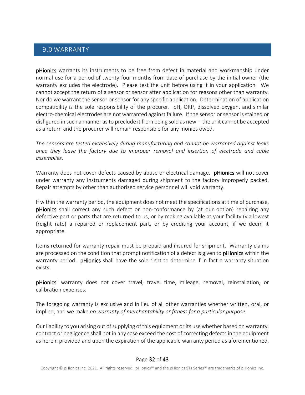# <span id="page-32-0"></span>9.0 WARRANTY

pHionics warrants its instruments to be free from defect in material and workmanship under normal use for a period of twenty-four months from date of purchase by the initial owner (the warranty excludes the electrode). Please test the unit before using it in your application. We cannot accept the return of a sensor or sensor after application for reasons other than warranty. Nor do we warrant the sensor or sensor for any specific application. Determination of application compatibility is the sole responsibility of the procurer. pH, ORP, dissolved oxygen, and similar electro-chemical electrodes are not warranted against failure. If the sensor or sensor is stained or disfigured in such a manner as to preclude it from being sold as new -- the unit cannot be accepted as a return and the procurer will remain responsible for any monies owed.

*The sensors are tested extensively during manufacturing and cannot be warranted against leaks once they leave the factory due to improper removal and insertion of electrode and cable assemblies.* 

Warranty does not cover defects caused by abuse or electrical damage. pHionics will not cover under warranty any instruments damaged during shipment to the factory improperly packed. Repair attempts by other than authorized service personnel will void warranty.

If within the warranty period, the equipment does not meet the specifications at time of purchase, pHionics shall correct any such defect or non-conformance by (at our option) repairing any defective part or parts that are returned to us, or by making available at your facility (via lowest freight rate) a repaired or replacement part, or by crediting your account, if we deem it appropriate.

Items returned for warranty repair must be prepaid and insured for shipment. Warranty claims are processed on the condition that prompt notification of a defect is given to **pHionics** within the warranty period. pHionics shall have the sole right to determine if in fact a warranty situation exists.

pHionics' warranty does not cover travel, travel time, mileage, removal, reinstallation, or calibration expenses.

The foregoing warranty is exclusive and in lieu of all other warranties whether written, oral, or implied, and we make *no warranty of merchantability or fitness for a particular purpose.*

Our liability to you arising out of supplying of this equipment or its use whether based on warranty, contract or negligence shall not in any case exceed the cost of correcting defects in the equipment as herein provided and upon the expiration of the applicable warranty period as aforementioned,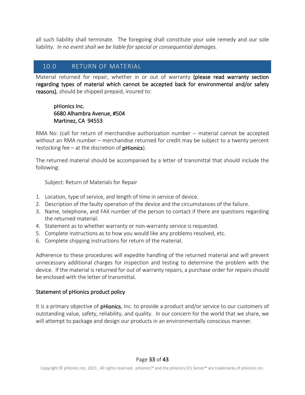all such liability shall terminate. The foregoing shall constitute your sole remedy and our sole liability. *In no event shall we be liable for special or consequential damages.*

# <span id="page-33-0"></span>10.0 RETURN OF MATERIAL

Material returned for repair, whether in or out of warranty (please read warranty section regarding types of material which cannot be accepted back for environmental and/or safety reasons), should be shipped prepaid, insured to:

### pHionics Inc. 6680 Alhambra Avenue, #504 Martinez, CA 94553

RMA No: (call for return of merchandise authorization number -- material cannot be accepted without an RMA number – merchandise returned for credit may be subject to a twenty percent restocking fee – at the discretion of  $p$ Hionics).

The returned material should be accompanied by a letter of transmittal that should include the following:

Subject: Return of Materials for Repair

- 1. Location, type of service, and length of time in service of device.
- 2. Description of the faulty operation of the device and the circumstances of the failure.
- 3. Name, telephone, and FAX number of the person to contact if there are questions regarding the returned material.
- 4. Statement as to whether warranty or non-warranty service is requested.
- 5. Complete instructions as to how you would like any problems resolved, etc.
- 6. Complete shipping instructions for return of the material.

Adherence to these procedures will expedite handling of the returned material and will prevent unnecessary additional charges for inspection and testing to determine the problem with the device. If the material is returned for out of warranty repairs, a purchase order for repairs should be enclosed with the letter of transmittal.

#### Statement of pHionics product policy

It is a primary objective of pHionics, Inc. to provide a product and/or service to our customers of outstanding value, safety, reliability, and quality. In our concern for the world that we share, we will attempt to package and design our products in an environmentally conscious manner.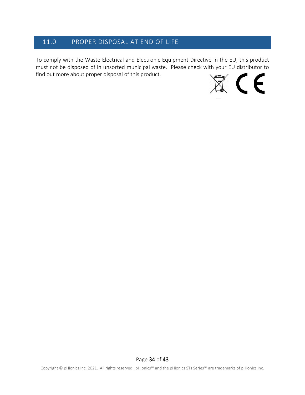# <span id="page-34-0"></span>11.0 PROPER DISPOSAL AT END OF LIFE

To comply with the Waste Electrical and Electronic Equipment Directive in the EU, this product must not be disposed of in unsorted municipal waste. Please check with your EU distributor to find out more about proper disposal of this product.

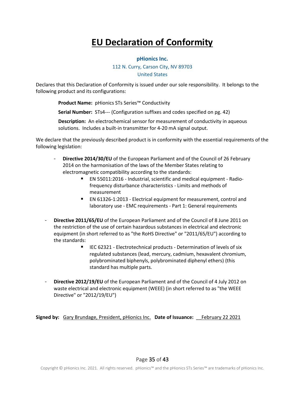# **EU Declaration of Conformity**

#### **pHionics Inc.**

#### 112 N. Curry, Carson City, NV 89703 United States

Declares that this Declaration of Conformity is issued under our sole responsibility. It belongs to the following product and its configurations:

**Product Name:** pHionics STs Series™ Conductivity

**Serial Number:** STs4--- (Configuration suffixes and codes specified on pg. 42)

**Description:** An electrochemical sensor for measurement of conductivity in aqueous solutions. Includes a built-in transmitter for 4-20 mA signal output.

We declare that the previously described product is in conformity with the essential requirements of the following legislation:

- **Directive 2014/30/EU** of the European Parliament and of the Council of 26 February 2014 on the harmonisation of the laws of the Member States relating to electromagnetic compatibility according to the standards:
	- EN 55011:2016 Industrial, scientific and medical equipment Radiofrequency disturbance characteristics - Limits and methods of measurement
	- EN 61326-1:2013 Electrical equipment for measurement, control and laboratory use - EMC requirements - Part 1: General requirements
- **Directive 2011/65/EU** of the European Parliament and of the Council of 8 June 2011 on the restriction of the use of certain hazardous substances in electrical and electronic equipment (in short referred to as "the RoHS Directive" or "2011/65/EU") according to the standards:
	- IEC 62321 Electrotechnical products Determination of levels of six regulated substances (lead, mercury, cadmium, hexavalent chromium, polybrominated biphenyls, polybrominated diphenyl ethers) (this standard has multiple parts.
- **Directive 2012/19/EU** of the European Parliament and of the Council of 4 July 2012 on waste electrical and electronic equipment (WEEE) (in short referred to as "the WEEE Directive" or "2012/19/EU")

**Signed by:** Gary Brundage, President, pHionics Inc. **Date of Issuance:** \_\_February 22 2021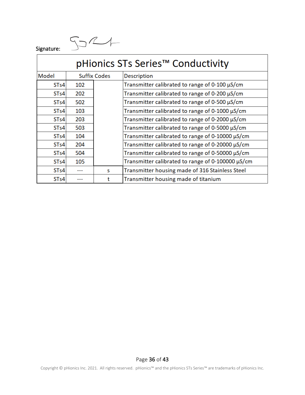$S221$ 

Signature:

| pHionics STs Series <sup>™</sup> Conductivity |                     |   |                                                     |  |
|-----------------------------------------------|---------------------|---|-----------------------------------------------------|--|
| Model                                         | <b>Suffix Codes</b> |   | <b>Description</b>                                  |  |
| STs4                                          | 102                 |   | Transmitter calibrated to range of 0-100 $\mu$ S/cm |  |
| ST <sub>s4</sub>                              | 202                 |   | Transmitter calibrated to range of 0-200 µS/cm      |  |
| STs4                                          | 502                 |   | Transmitter calibrated to range of 0-500 µS/cm      |  |
| ST <sub>s</sub> 4                             | 103                 |   | Transmitter calibrated to range of 0-1000 µS/cm     |  |
| STs4                                          | 203                 |   | Transmitter calibrated to range of 0-2000 µS/cm     |  |
| STs4                                          | 503                 |   | Transmitter calibrated to range of 0-5000 µS/cm     |  |
| STs4                                          | 104                 |   | Transmitter calibrated to range of 0-10000 µS/cm    |  |
| STs4                                          | 204                 |   | Transmitter calibrated to range of 0-20000 µS/cm    |  |
| ST <sub>s4</sub>                              | 504                 |   | Transmitter calibrated to range of 0-50000 µS/cm    |  |
| ST <sub>s</sub> 4                             | 105                 |   | Transmitter calibrated to range of 0-100000 µS/cm   |  |
| ST <sub>s</sub> 4                             |                     | S | Transmitter housing made of 316 Stainless Steel     |  |
| ST <sub>s</sub> 4                             | ---                 |   | Transmitter housing made of titanium                |  |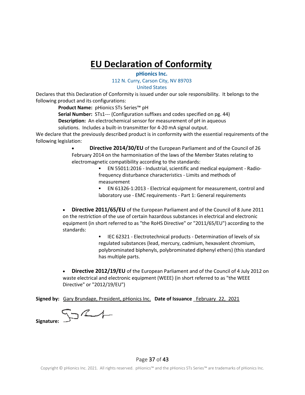# **EU Declaration of Conformity**

## **pHionics Inc.**

#### 112 N. Curry, Carson City, NV 89703

#### United States

Declares that this Declaration of Conformity is issued under our sole responsibility. It belongs to the following product and its configurations:

**Product Name:** pHionics STs Series™ pH

**Serial Number:** STs1--- (Configuration suffixes and codes specified on pg. 44)

**Description:** An electrochemical sensor for measurement of pH in aqueous

solutions. Includes a built-in transmitter for 4-20 mA signal output.

We declare that the previously described product is in conformity with the essential requirements of the following legislation:

> • **Directive 2014/30/EU** of the European Parliament and of the Council of 26 February 2014 on the harmonisation of the laws of the Member States relating to electromagnetic compatibility according to the standards:

> > ▪ EN 55011:2016 - Industrial, scientific and medical equipment - Radiofrequency disturbance characteristics - Limits and methods of measurement

▪ EN 61326-1:2013 - Electrical equipment for measurement, control and laboratory use - EMC requirements - Part 1: General requirements

• **Directive 2011/65/EU** of the European Parliament and of the Council of 8 June 2011 on the restriction of the use of certain hazardous substances in electrical and electronic equipment (in short referred to as "the RoHS Directive" or "2011/65/EU") according to the standards:

> IEC 62321 - Electrotechnical products - Determination of levels of six regulated substances (lead, mercury, cadmium, hexavalent chromium, polybrominated biphenyls, polybrominated diphenyl ethers) (this standard has multiple parts.

• **Directive 2012/19/EU** of the European Parliament and of the Council of 4 July 2012 on waste electrical and electronic equipment (WEEE) (in short referred to as "the WEEE Directive" or "2012/19/EU")

**Signed by:** Gary Brundage, President, pHionics Inc. **Date of Issuance** \_February\_22,\_2021

 $\zeta_2$ L $+$ **Signature:**

#### Page 37 of 43

Copyright © pHionics Inc. 2021. All rights reserved. pHionics™ and the pHionics STs Series™ are trademarks of pHionics Inc.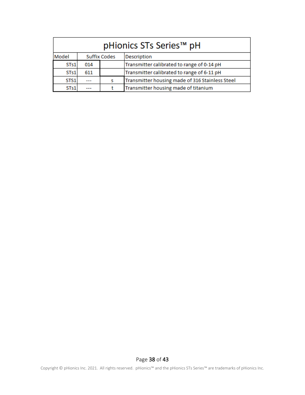| pHionics STs Series <sup>™</sup> pH |     |                     |                                                 |
|-------------------------------------|-----|---------------------|-------------------------------------------------|
| Model                               |     | <b>Suffix Codes</b> | <b>Description</b>                              |
| STs1                                | 014 |                     | Transmitter calibrated to range of 0-14 pH      |
| STs1                                | 611 |                     | Transmitter calibrated to range of 6-11 pH      |
| STS1                                |     | s                   | Transmitter housing made of 316 Stainless Steel |
| STs1                                |     |                     | Transmitter housing made of titanium            |

## Page 38 of 43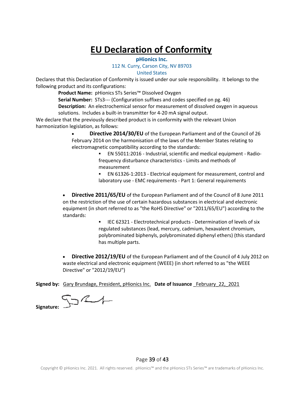# **EU Declaration of Conformity**

#### **pHionics Inc.**

#### 112 N. Curry, Carson City, NV 89703

United States

Declares that this Declaration of Conformity is issued under our sole responsibility. It belongs to the following product and its configurations:

**Product Name:** pHionics STs Series™ Dissolved Oxygen

**Serial Number:** STs3--- (Configuration suffixes and codes specified on pg. 46) **Description:** An electrochemical sensor for measurement of dissolved oxygen in aqueous solutions. Includes a built-in transmitter for 4-20 mA signal output.

We declare that the previously described product is in conformity with the relevant Union harmonization legislation, as follows:

> • **Directive 2014/30/EU** of the European Parliament and of the Council of 26 February 2014 on the harmonisation of the laws of the Member States relating to electromagnetic compatibility according to the standards:

▪ EN 55011:2016 - Industrial, scientific and medical equipment - Radiofrequency disturbance characteristics - Limits and methods of measurement

▪ EN 61326-1:2013 - Electrical equipment for measurement, control and laboratory use - EMC requirements - Part 1: General requirements

• **Directive 2011/65/EU** of the European Parliament and of the Council of 8 June 2011 on the restriction of the use of certain hazardous substances in electrical and electronic equipment (in short referred to as "the RoHS Directive" or "2011/65/EU") according to the standards:

> **ELEC 62321 - Electrotechnical products - Determination of levels of six** regulated substances (lead, mercury, cadmium, hexavalent chromium, polybrominated biphenyls, polybrominated diphenyl ethers) (this standard has multiple parts.

• **Directive 2012/19/EU** of the European Parliament and of the Council of 4 July 2012 on waste electrical and electronic equipment (WEEE) (in short referred to as "the WEEE Directive" or "2012/19/EU")

**Signed by:** Gary Brundage, President, pHionics Inc. **Date of Issuance** \_February\_22,\_2021

 $\nabla$ 

**Signature:**

Page 39 of 43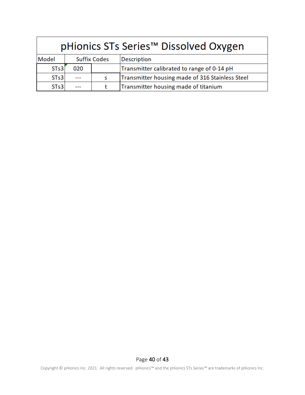| pHionics STs Series <sup>™</sup> Dissolved Oxygen |                     |   |                                                 |
|---------------------------------------------------|---------------------|---|-------------------------------------------------|
| Model                                             | <b>Suffix Codes</b> |   | <b>Description</b>                              |
| ST <sub>s</sub> 3                                 | 020                 |   | Transmitter calibrated to range of 0-14 pH      |
| STs3                                              |                     | S | Transmitter housing made of 316 Stainless Steel |
| ST <sub>s3</sub>                                  |                     |   | Transmitter housing made of titanium            |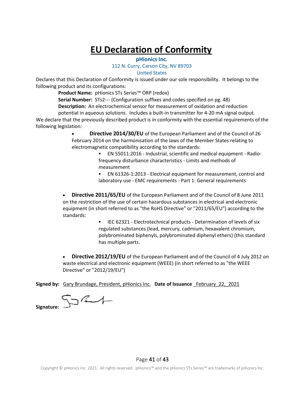# **EU Declaration of Conformity**

#### **pHionics Inc.**

#### 112 N. Curry, Carson City, NV 89703

United States

Declares that this Declaration of Conformity is issued under our sole responsibility. It belongs to the following product and its configurations:

**Product Name:** pHionics STs Series™ ORP (redox)

**Serial Number:** STs2--- (Configuration suffixes and codes specified on pg. 48) **Description:** An electrochemical sensor for measurement of oxidation and reduction

potential in aqueous solutions. Includes a built-in transmitter for 4-20 mA signal output.

We declare that the previously described product is in conformity with the essential requirements of the following legislation:

> • **Directive 2014/30/EU** of the European Parliament and of the Council of 26 February 2014 on the harmonisation of the laws of the Member States relating to electromagnetic compatibility according to the standards:

▪ EN 55011:2016 - Industrial, scientific and medical equipment - Radiofrequency disturbance characteristics - Limits and methods of measurement

▪ EN 61326-1:2013 - Electrical equipment for measurement, control and laboratory use - EMC requirements - Part 1: General requirements

• **Directive 2011/65/EU** of the European Parliament and of the Council of 8 June 2011 on the restriction of the use of certain hazardous substances in electrical and electronic equipment (in short referred to as "the RoHS Directive" or "2011/65/EU") according to the standards:

> **ELEC 62321 - Electrotechnical products - Determination of levels of six** regulated substances (lead, mercury, cadmium, hexavalent chromium, polybrominated biphenyls, polybrominated diphenyl ethers) (this standard has multiple parts.

• **Directive 2012/19/EU** of the European Parliament and of the Council of 4 July 2012 on waste electrical and electronic equipment (WEEE) (in short referred to as "the WEEE Directive" or "2012/19/EU")

**Signed by:** Gary Brundage, President, pHionics Inc. **Date of Issuance** \_February\_22,\_2021

 $\nabla$ 

**Signature:**

Page 41 of 43